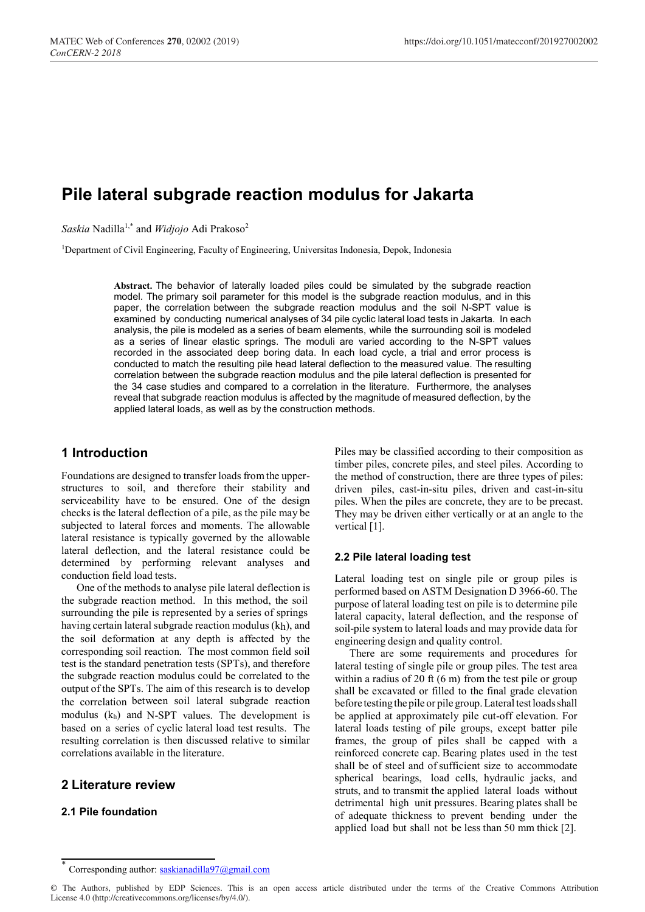# **Pile lateral subgrade reaction modulus for Jakarta**

*Saskia* Nadilla1,\* and *Widjojo* Adi Prakoso2

1Department of Civil Engineering, Faculty of Engineering, Universitas Indonesia, Depok, Indonesia

**Abstract.** The behavior of laterally loaded piles could be simulated by the subgrade reaction model. The primary soil parameter for this model is the subgrade reaction modulus, and in this paper, the correlation between the subgrade reaction modulus and the soil N-SPT value is examined by conducting numerical analyses of 34 pile cyclic lateral load tests in Jakarta. In each analysis, the pile is modeled as a series of beam elements, while the surrounding soil is modeled as a series of linear elastic springs. The moduli are varied according to the N-SPT values recorded in the associated deep boring data. In each load cycle, a trial and error process is conducted to match the resulting pile head lateral deflection to the measured value. The resulting correlation between the subgrade reaction modulus and the pile lateral deflection is presented for the 34 case studies and compared to a correlation in the literature. Furthermore, the analyses reveal that subgrade reaction modulus is affected by the magnitude of measured deflection, by the applied lateral loads, as well as by the construction methods.

# **1 Introduction**

Foundations are designed to transfer loads fromthe upperstructures to soil, and therefore their stability and serviceability have to be ensured. One of the design checks is the lateral deflection of a pile, as the pile may be subjected to lateral forces and moments. The allowable lateral resistance is typically governed by the allowable lateral deflection, and the lateral resistance could be determined by performing relevant analyses and conduction field load tests.

One of the methods to analyse pile lateral deflection is the subgrade reaction method. In this method, the soil surrounding the pile is represented by a series of springs having certain lateral subgrade reaction modulus (kh), and the soil deformation at any depth is affected by the corresponding soil reaction. The most common field soil test is the standard penetration tests (SPTs), and therefore the subgrade reaction modulus could be correlated to the output of the SPTs. The aim of this research is to develop the correlation between soil lateral subgrade reaction modulus (kh) and N-SPT values. The development is based on a series of cyclic lateral load test results. The resulting correlation is then discussed relative to similar correlations available in the literature.

# **2 Literature review**

## **2.1 Pile foundation**

Piles may be classified according to their composition as timber piles, concrete piles, and steel piles. According to the method of construction, there are three types of piles: driven piles, cast-in-situ piles, driven and cast-in-situ piles. When the piles are concrete, they are to be precast. They may be driven either vertically or at an angle to the vertical [1].

## **2.2 Pile lateral loading test**

Lateral loading test on single pile or group piles is performed based on ASTM Designation D 3966-60. The purpose of lateral loading test on pile is to determine pile lateral capacity, lateral deflection, and the response of soil-pile system to lateral loads and may provide data for engineering design and quality control.

There are some requirements and procedures for lateral testing of single pile or group piles. The test area within a radius of 20 ft (6 m) from the test pile or group shall be excavated or filled to the final grade elevation before testing the pile or pile group. Lateral test loads shall be applied at approximately pile cut-off elevation. For lateral loads testing of pile groups, except batter pile frames, the group of piles shall be capped with a reinforced concrete cap. Bearing plates used in the test shall be of steel and of sufficient size to accommodate spherical bearings, load cells, hydraulic jacks, and struts, and to transmit the applied lateral loads without detrimental high unit pressures. Bearing plates shall be of adequate thickness to prevent bending under the applied load but shall not be less than 50 mm thick [2].

Corresponding author: saskianadilla97@gmail.com

<sup>©</sup> The Authors, published by EDP Sciences. This is an open access article distributed under the terms of the Creative Commons Attribution License 4.0 (http://creativecommons.org/licenses/by/4.0/).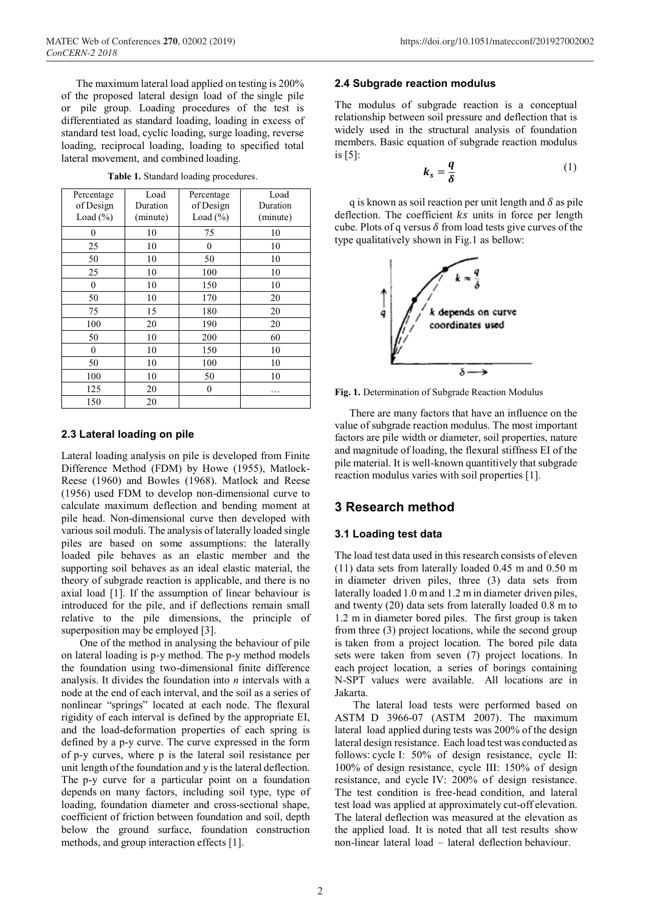The maximum lateral load applied on testing is 200% of the proposed lateral design load of the single pile or pile group. Loading procedures of the test is differentiated as standard loading, loading in excess of standard test load, cyclic loading, surge loading, reverse loading, reciprocal loading, loading to specified total lateral movement, and combined loading.

| Percentage<br>of Design<br>Load (%) | Load<br>Duration<br>(minute) | Percentage<br>of Design<br>Load $(\% )$ | Load<br>Duration<br>(minute) |
|-------------------------------------|------------------------------|-----------------------------------------|------------------------------|
| 0                                   | 10                           | 75                                      | 10                           |
| 25                                  | 10                           | 0                                       | 10                           |
| 50                                  | 10                           | 50                                      | 10                           |
| 25                                  | 10                           | 100                                     | 10                           |
| $\boldsymbol{0}$                    | 10                           | 150                                     | 10                           |
| 50                                  | 10                           | 170                                     | 20                           |
| 75                                  | 15                           | 180                                     | 20                           |
| 100                                 | 20                           | 190                                     | 20                           |
| 50                                  | 10                           | 200                                     | 60                           |
| $\boldsymbol{0}$                    | 10                           | 150                                     | 10                           |
| 50                                  | 10                           | 100                                     | 10                           |
| 100                                 | 10                           | 50                                      | 10                           |
| 125                                 | 20                           | 0                                       | .                            |
| 150                                 | 20                           |                                         |                              |

**Table 1.** Standard loading procedures.

### **2.3 Lateral loading on pile**

Lateral loading analysis on pile is developed from Finite Difference Method (FDM) by Howe (1955), Matlock-Reese (1960) and Bowles (1968). Matlock and Reese (1956) used FDM to develop non-dimensional curve to calculate maximum deflection and bending moment at pile head. Non-dimensional curve then developed with various soil moduli. The analysis of laterally loaded single piles are based on some assumptions: the laterally loaded pile behaves as an elastic member and the supporting soil behaves as an ideal elastic material, the theory of subgrade reaction is applicable, and there is no axial load [1]. If the assumption of linear behaviour is introduced for the pile, and if deflections remain small relative to the pile dimensions, the principle of superposition may be employed [3].

One of the method in analysing the behaviour of pile on lateral loading is p-y method. The p-y method models the foundation using two-dimensional finite difference analysis. It divides the foundation into *n* intervals with a node at the end of each interval, and the soil as a series of nonlinear "springs" located at each node. The flexural rigidity of each interval is defined by the appropriate EI, and the load-deformation properties of each spring is defined by a p-y curve. The curve expressed in the form of p-y curves, where p is the lateral soil resistance per unit length of the foundation and y is the lateral deflection. The p-y curve for a particular point on a foundation depends on many factors, including soil type, type of loading, foundation diameter and cross-sectional shape, coefficient of friction between foundation and soil, depth below the ground surface, foundation construction methods, and group interaction effects [1].

#### **2.4 Subgrade reaction modulus**

The modulus of subgrade reaction is a conceptual relationship between soil pressure and deflection that is widely used in the structural analysis of foundation members. Basic equation of subgrade reaction modulus is [5]:

$$
k_s = \frac{q}{\delta} \tag{1}
$$

q is known as soil reaction per unit length and  $\delta$  as pile deflection. The coefficient  $ks$  units in force per length cube. Plots of q versus  $\delta$  from load tests give curves of the type qualitatively shown in Fig.1 as bellow:



**Fig. 1.** Determination of Subgrade Reaction Modulus

There are many factors that have an influence on the value of subgrade reaction modulus. The most important factors are pile width or diameter, soil properties, nature and magnitude of loading, the flexural stiffness EI of the pile material. It is well-known quantitively that subgrade reaction modulus varies with soil properties [1].

# **3 Research method**

### **3.1 Loading test data**

The load test data used in this research consists of eleven (11) data sets from laterally loaded 0.45 m and 0.50 m in diameter driven piles, three (3) data sets from laterally loaded 1.0 m and 1.2 m in diameter driven piles, and twenty (20) data sets from laterally loaded 0.8 m to 1.2 m in diameter bored piles. The first group is taken from three (3) project locations, while the second group is taken from a project location. The bored pile data sets were taken from seven (7) project locations. In each project location, a series of borings containing N-SPT values were available. All locations are in Jakarta.

The lateral load tests were performed based on ASTM D 3966-07 (ASTM 2007). The maximum lateral load applied during tests was 200% of the design lateral design resistance. Each load test was conducted as follows: cycle I: 50% of design resistance, cycle II: 100% of design resistance, cycle III: 150% of design resistance, and cycle IV: 200% of design resistance. The test condition is free-head condition, and lateral test load was applied at approximately cut-off elevation. The lateral deflection was measured at the elevation as the applied load. It is noted that all test results show non-linear lateral load – lateral deflection behaviour.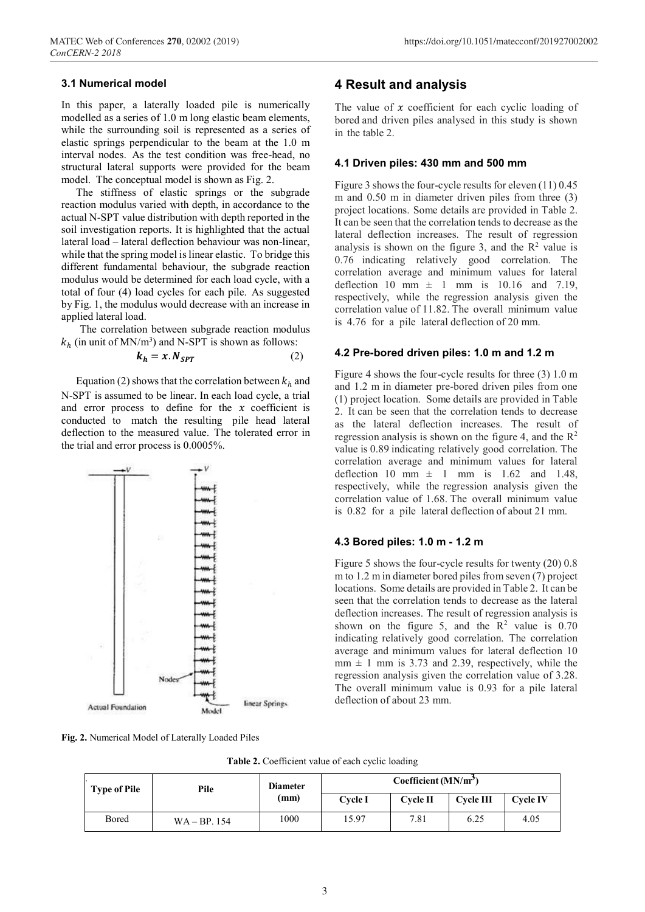#### **3.1 Numerical model**

In this paper, a laterally loaded pile is numerically modelled as a series of 1.0 m long elastic beam elements, while the surrounding soil is represented as a series of elastic springs perpendicular to the beam at the 1.0 m interval nodes. As the test condition was free-head, no structural lateral supports were provided for the beam model. The conceptual model is shown as Fig. 2.

The stiffness of elastic springs or the subgrade reaction modulus varied with depth, in accordance to the actual N-SPT value distribution with depth reported in the soil investigation reports. It is highlighted that the actual lateral load – lateral deflection behaviour was non-linear, while that the spring model is linear elastic. To bridge this different fundamental behaviour, the subgrade reaction modulus would be determined for each load cycle, with a total of four (4) load cycles for each pile. As suggested by Fig. 1, the modulus would decrease with an increase in applied lateral load.

The correlation between subgrade reaction modulus  $k_h$  (in unit of MN/m<sup>3</sup>) and N-SPT is shown as follows:

$$
k_h = x. N_{SPT} \tag{2}
$$

Equation (2) shows that the correlation between  $k_h$  and N-SPT is assumed to be linear. In each load cycle, a trial and error process to define for the  $x$  coefficient is conducted to match the resulting pile head lateral deflection to the measured value. The tolerated error in the trial and error process is 0.0005%.



**Fig. 2.** Numerical Model of Laterally Loaded Piles

### **4 Result and analysis**

The value of  $x$  coefficient for each cyclic loading of bored and driven piles analysed in this study is shown in the table 2.

#### **4.1 Driven piles: 430 mm and 500 mm**

Figure 3 shows the four-cycle results for eleven (11) 0.45 m and 0.50 m in diameter driven piles from three (3) project locations. Some details are provided in Table 2. It can be seen that the correlation tends to decrease as the lateral deflection increases. The result of regression analysis is shown on the figure 3, and the  $\mathbb{R}^2$  value is 0.76 indicating relatively good correlation. The correlation average and minimum values for lateral deflection 10 mm  $\pm$  1 mm is 10.16 and 7.19, respectively, while the regression analysis given the correlation value of 11.82. The overall minimum value is 4.76 for a pile lateral deflection of 20 mm.

#### **4.2 Pre-bored driven piles: 1.0 m and 1.2 m**

Figure 4 shows the four-cycle results for three (3) 1.0 m and 1.2 m in diameter pre-bored driven piles from one (1) project location. Some details are provided in Table 2. It can be seen that the correlation tends to decrease as the lateral deflection increases. The result of regression analysis is shown on the figure 4, and the  $\mathbb{R}^2$ value is 0.89 indicating relatively good correlation. The correlation average and minimum values for lateral deflection 10 mm  $\pm$  1 mm is 1.62 and 1.48, respectively, while the regression analysis given the correlation value of 1.68. The overall minimum value is 0.82 for a pile lateral deflection of about 21 mm.

#### **4.3 Bored piles: 1.0 m - 1.2 m**

Figure 5 shows the four-cycle results for twenty (20) 0.8 m to 1.2 m in diameter bored piles from seven (7) project locations. Some details are provided in Table 2. It can be seen that the correlation tends to decrease as the lateral deflection increases. The result of regression analysis is shown on the figure 5, and the  $R^2$  value is 0.70 indicating relatively good correlation. The correlation average and minimum values for lateral deflection 10  $mm \pm 1$  mm is 3.73 and 2.39, respectively, while the regression analysis given the correlation value of 3.28. The overall minimum value is 0.93 for a pile lateral deflection of about 23 mm.

**Table 2.** Coefficient value of each cyclic loading

| <b>Type of Pile</b> | Pile          | <b>Diameter</b><br>(mm) | Coefficient $(MN/m3)$ |                 |              |                 |
|---------------------|---------------|-------------------------|-----------------------|-----------------|--------------|-----------------|
|                     |               |                         | <b>Cycle I</b>        | <b>Cycle II</b> | $C$ vcle III | <b>Cycle IV</b> |
| Bored               | $WA - BP.154$ | 1000                    | 15.97                 | 7.81            | 6.25         | 4.05            |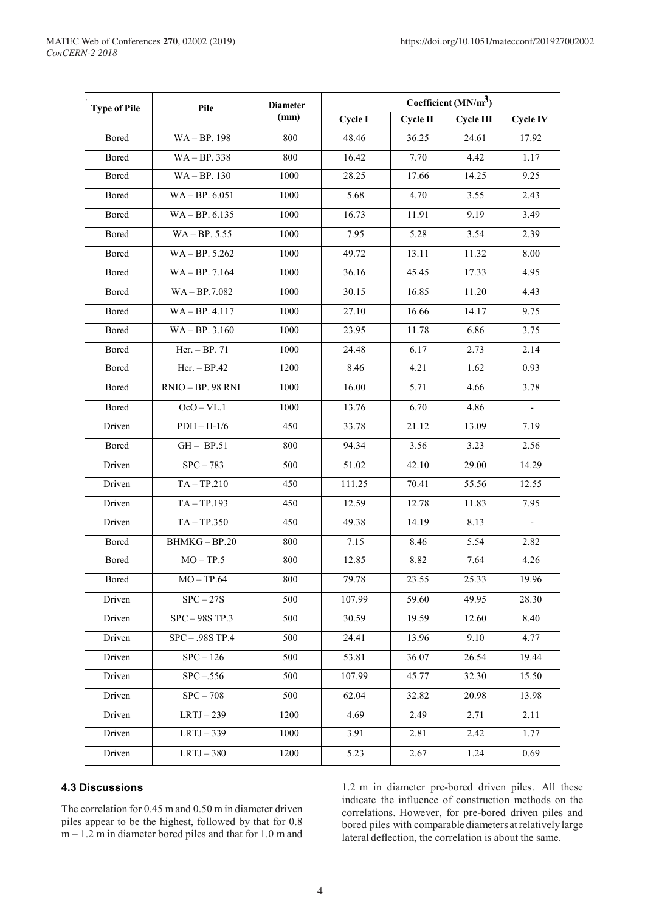| <b>Type of Pile</b> | Pile              | <b>Diameter</b><br>(mm) | Coefficient ( $MN/m3$ ) |          |           |                          |
|---------------------|-------------------|-------------------------|-------------------------|----------|-----------|--------------------------|
|                     |                   |                         | Cycle I                 | Cycle II | Cycle III | <b>Cycle IV</b>          |
| Bored               | WA-BP. 198        | 800                     | 48.46                   | 36.25    | 24.61     | 17.92                    |
| Bored               | $WA - BP.338$     | 800                     | 16.42                   | 7.70     | 4.42      | 1.17                     |
| Bored               | $WA - BP.130$     | 1000                    | 28.25                   | 17.66    | 14.25     | 9.25                     |
| Bored               | $WA - BP. 6.051$  | 1000                    | 5.68                    | 4.70     | 3.55      | 2.43                     |
| Bored               | $WA - BP. 6.135$  | 1000                    | 16.73                   | 11.91    | 9.19      | 3.49                     |
| Bored               | $WA - BP. 5.55$   | 1000                    | 7.95                    | 5.28     | 3.54      | 2.39                     |
| Bored               | $WA - BP. 5.262$  | 1000                    | 49.72                   | 13.11    | 11.32     | 8.00                     |
| Bored               | $WA - BP. 7.164$  | 1000                    | 36.16                   | 45.45    | 17.33     | 4.95                     |
| Bored               | $WA - BP.7.082$   | 1000                    | 30.15                   | 16.85    | 11.20     | 4.43                     |
| Bored               | $WA - BP. 4.117$  | 1000                    | 27.10                   | 16.66    | 14.17     | 9.75                     |
| Bored               | $WA - BP. 3.160$  | 1000                    | 23.95                   | 11.78    | 6.86      | 3.75                     |
| Bored               | Her. - BP. 71     | 1000                    | 24.48                   | 6.17     | 2.73      | 2.14                     |
| Bored               | $Her. - BP.42$    | 1200                    | 8.46                    | 4.21     | 1.62      | 0.93                     |
| Bored               | RNIO - BP. 98 RNI | 1000                    | 16.00                   | 5.71     | 4.66      | 3.78                     |
| Bored               | $OcO - VL.1$      | 1000                    | 13.76                   | 6.70     | 4.86      | $\overline{\phantom{a}}$ |
| Driven              | $PDH - H-1/6$     | 450                     | 33.78                   | 21.12    | 13.09     | 7.19                     |
| Bored               | $GH - BP.51$      | 800                     | 94.34                   | 3.56     | 3.23      | 2.56                     |
| Driven              | $SPC - 783$       | 500                     | 51.02                   | 42.10    | 29.00     | 14.29                    |
| Driven              | $TA - TP.210$     | 450                     | 111.25                  | 70.41    | 55.56     | 12.55                    |
| Driven              | $TA - TP.193$     | 450                     | 12.59                   | 12.78    | 11.83     | 7.95                     |
| Driven              | $TA - TP.350$     | 450                     | 49.38                   | 14.19    | 8.13      | $\overline{\phantom{a}}$ |
| Bored               | BHMKG-BP.20       | 800                     | 7.15                    | 8.46     | 5.54      | 2.82                     |
| Bored               | $MO - TP.5$       | $800\,$                 | 12.85                   | 8.82     | 7.64      | 4.26                     |
| Bored               | $MO - TP.64$      | 800                     | 79.78                   | 23.55    | 25.33     | 19.96                    |
| Driven              | $SPC - 27S$       | 500                     | 107.99                  | 59.60    | 49.95     | 28.30                    |
| Driven              | $SPC - 98S TP.3$  | 500                     | 30.59                   | 19.59    | 12.60     | 8.40                     |
| Driven              | SPC - .98S TP.4   | 500                     | 24.41                   | 13.96    | 9.10      | 4.77                     |
| Driven              | $SPC - 126$       | 500                     | 53.81                   | 36.07    | 26.54     | 19.44                    |
| Driven              | $SPC - 556$       | 500                     | 107.99                  | 45.77    | 32.30     | 15.50                    |
| Driven              | $SPC - 708$       | 500                     | 62.04                   | 32.82    | 20.98     | 13.98                    |
| Driven              | $LRTJ - 239$      | 1200                    | 4.69                    | 2.49     | 2.71      | 2.11                     |
| Driven              | $LRTJ-339$        | 1000                    | 3.91                    | 2.81     | 2.42      | 1.77                     |
| Driven              | $LRTJ - 380$      | 1200                    | 5.23                    | 2.67     | 1.24      | 0.69                     |

### **4.3 Discussions**

The correlation for 0.45 m and 0.50 m in diameter driven piles appear to be the highest, followed by that for 0.8  $m - 1.2$  m in diameter bored piles and that for 1.0 m and

1.2 m in diameter pre-bored driven piles. All these indicate the influence of construction methods on the correlations. However, for pre-bored driven piles and bored piles with comparable diameters at relatively large lateral deflection, the correlation is about the same.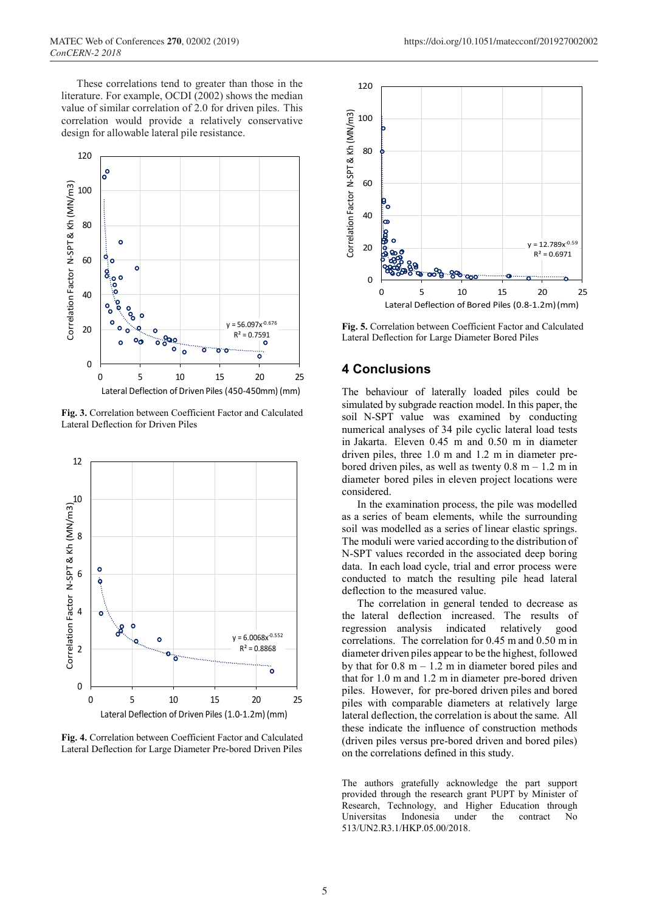These correlations tend to greater than those in the literature. For example, OCDI (2002) shows the median value of similar correlation of 2.0 for driven piles. This correlation would provide a relatively conservative design for allowable lateral pile resistance.



**Fig. 3.** Correlation between Coefficient Factor and Calculated Lateral Deflection for Driven Piles



**Fig. 4.** Correlation between Coefficient Factor and Calculated Lateral Deflection for Large Diameter Pre-bored Driven Piles



**Fig. 5.** Correlation between Coefficient Factor and Calculated Lateral Deflection for Large Diameter Bored Piles

# **4 Conclusions**

The behaviour of laterally loaded piles could be simulated by subgrade reaction model. In this paper, the soil N-SPT value was examined by conducting numerical analyses of 34 pile cyclic lateral load tests in Jakarta. Eleven 0.45 m and 0.50 m in diameter driven piles, three 1.0 m and 1.2 m in diameter prebored driven piles, as well as twenty  $0.8 \text{ m} - 1.2 \text{ m}$  in diameter bored piles in eleven project locations were considered.

In the examination process, the pile was modelled as a series of beam elements, while the surrounding soil was modelled as a series of linear elastic springs. The moduli were varied according to the distribution of N-SPT values recorded in the associated deep boring data. In each load cycle, trial and error process were conducted to match the resulting pile head lateral deflection to the measured value.

The correlation in general tended to decrease as the lateral deflection increased. The results of regression analysis indicated relatively good correlations. The correlation for 0.45 m and 0.50 m in diameter driven piles appear to be the highest, followed by that for  $0.8$  m  $-1.2$  m in diameter bored piles and that for 1.0 m and 1.2 m in diameter pre-bored driven piles. However, for pre-bored driven piles and bored piles with comparable diameters at relatively large lateral deflection, the correlation is about the same. All these indicate the influence of construction methods (driven piles versus pre-bored driven and bored piles) on the correlations defined in this study.

The authors gratefully acknowledge the part support provided through the research grant PUPT by Minister of Research, Technology, and Higher Education through Universitas Indonesia under the contract No 513/UN2.R3.1/HKP.05.00/2018.